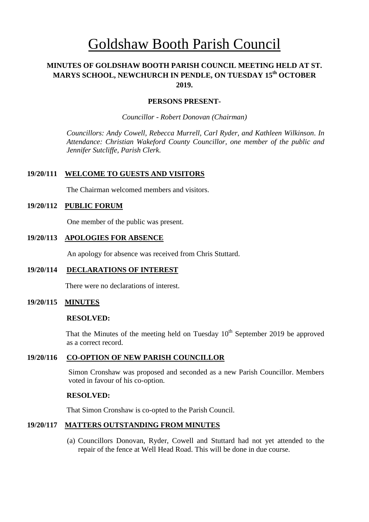# Goldshaw Booth Parish Council

# **MINUTES OF GOLDSHAW BOOTH PARISH COUNCIL MEETING HELD AT ST. MARYS SCHOOL, NEWCHURCH IN PENDLE, ON TUESDAY 15 th OCTOBER 2019.**

#### **PERSONS PRESENT-**

*Councillor* - *Robert Donovan (Chairman)*

*Councillors: Andy Cowell, Rebecca Murrell, Carl Ryder, and Kathleen Wilkinson. In Attendance: Christian Wakeford County Councillor, one member of the public and Jennifer Sutcliffe, Parish Clerk.*

## **19/20/111 WELCOME TO GUESTS AND VISITORS**

The Chairman welcomed members and visitors.

## **19/20/112 PUBLIC FORUM**

One member of the public was present.

## **19/20/113 APOLOGIES FOR ABSENCE**

An apology for absence was received from Chris Stuttard.

## **19/20/114 DECLARATIONS OF INTEREST**

There were no declarations of interest.

## **19/20/115 MINUTES**

#### **RESOLVED:**

That the Minutes of the meeting held on Tuesday  $10<sup>th</sup>$  September 2019 be approved as a correct record.

## **19/20/116 CO-OPTION OF NEW PARISH COUNCILLOR**

Simon Cronshaw was proposed and seconded as a new Parish Councillor. Members voted in favour of his co-option.

#### **RESOLVED:**

That Simon Cronshaw is co-opted to the Parish Council.

# **19/20/117 MATTERS OUTSTANDING FROM MINUTES**

(a) Councillors Donovan, Ryder, Cowell and Stuttard had not yet attended to the repair of the fence at Well Head Road. This will be done in due course.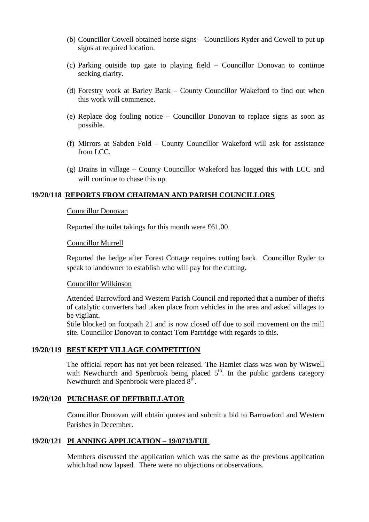- (b) Councillor Cowell obtained horse signs Councillors Ryder and Cowell to put up signs at required location.
- (c) Parking outside top gate to playing field Councillor Donovan to continue seeking clarity.
- (d) Forestry work at Barley Bank County Councillor Wakeford to find out when this work will commence.
- (e) Replace dog fouling notice Councillor Donovan to replace signs as soon as possible.
- (f) Mirrors at Sabden Fold County Councillor Wakeford will ask for assistance from LCC.
- (g) Drains in village County Councillor Wakeford has logged this with LCC and will continue to chase this up.

#### **19/20/118 REPORTS FROM CHAIRMAN AND PARISH COUNCILLORS**

#### Councillor Donovan

Reported the toilet takings for this month were £61.00.

#### Councillor Murrell

Reported the hedge after Forest Cottage requires cutting back. Councillor Ryder to speak to landowner to establish who will pay for the cutting.

#### Councillor Wilkinson

Attended Barrowford and Western Parish Council and reported that a number of thefts of catalytic converters had taken place from vehicles in the area and asked villages to be vigilant.

Stile blocked on footpath 21 and is now closed off due to soil movement on the mill site. Councillor Donovan to contact Tom Partridge with regards to this.

#### **19/20/119 BEST KEPT VILLAGE COMPETITION**

The official report has not yet been released. The Hamlet class was won by Wiswell with Newchurch and Spenbrook being placed  $5<sup>th</sup>$ . In the public gardens category Newchurch and Spenbrook were placed  $8<sup>th</sup>$ .

#### **19/20/120 PURCHASE OF DEFIBRILLATOR**

Councillor Donovan will obtain quotes and submit a bid to Barrowford and Western Parishes in December.

#### **19/20/121 PLANNING APPLICATION – 19/0713/FUL**

Members discussed the application which was the same as the previous application which had now lapsed. There were no objections or observations.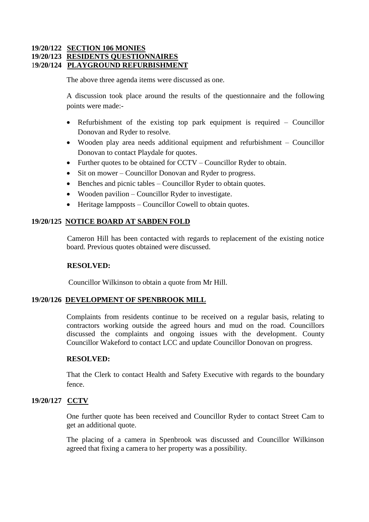# **19/20/122 SECTION 106 MONIES 19/20/123 RESIDENTS QUESTIONNAIRES** 1**9/20/124 PLAYGROUND REFURBISHMENT**

The above three agenda items were discussed as one.

A discussion took place around the results of the questionnaire and the following points were made:-

- Refurbishment of the existing top park equipment is required Councillor Donovan and Ryder to resolve.
- Wooden play area needs additional equipment and refurbishment Councillor Donovan to contact Playdale for quotes.
- Further quotes to be obtained for CCTV Councillor Ryder to obtain.
- Sit on mower Councillor Donovan and Ryder to progress.
- Benches and picnic tables Councillor Ryder to obtain quotes.
- Wooden pavilion Councillor Ryder to investigate.
- Heritage lampposts Councillor Cowell to obtain quotes.

# **19/20/125 NOTICE BOARD AT SABDEN FOLD**

Cameron Hill has been contacted with regards to replacement of the existing notice board. Previous quotes obtained were discussed.

## **RESOLVED:**

Councillor Wilkinson to obtain a quote from Mr Hill.

## **19/20/126 DEVELOPMENT OF SPENBROOK MILL**

Complaints from residents continue to be received on a regular basis, relating to contractors working outside the agreed hours and mud on the road. Councillors discussed the complaints and ongoing issues with the development. County Councillor Wakeford to contact LCC and update Councillor Donovan on progress.

## **RESOLVED:**

That the Clerk to contact Health and Safety Executive with regards to the boundary fence.

## **19/20/127 CCTV**

One further quote has been received and Councillor Ryder to contact Street Cam to get an additional quote.

The placing of a camera in Spenbrook was discussed and Councillor Wilkinson agreed that fixing a camera to her property was a possibility.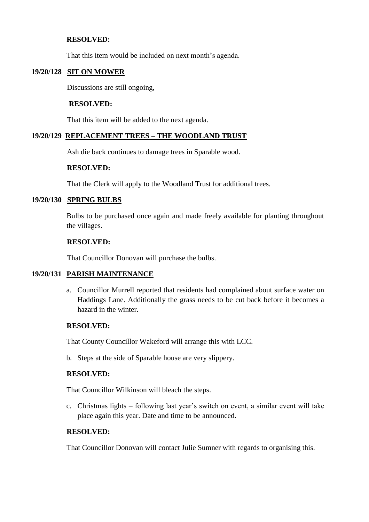## **RESOLVED:**

That this item would be included on next month's agenda.

# **19/20/128 SIT ON MOWER**

Discussions are still ongoing,

## **RESOLVED:**

That this item will be added to the next agenda.

# **19/20/129 REPLACEMENT TREES – THE WOODLAND TRUST**

Ash die back continues to damage trees in Sparable wood.

## **RESOLVED:**

That the Clerk will apply to the Woodland Trust for additional trees.

## **19/20/130 SPRING BULBS**

Bulbs to be purchased once again and made freely available for planting throughout the villages.

## **RESOLVED:**

That Councillor Donovan will purchase the bulbs.

## **19/20/131 PARISH MAINTENANCE**

a. Councillor Murrell reported that residents had complained about surface water on Haddings Lane. Additionally the grass needs to be cut back before it becomes a hazard in the winter.

## **RESOLVED:**

That County Councillor Wakeford will arrange this with LCC.

b. Steps at the side of Sparable house are very slippery.

## **RESOLVED:**

That Councillor Wilkinson will bleach the steps.

c. Christmas lights – following last year's switch on event, a similar event will take place again this year. Date and time to be announced.

## **RESOLVED:**

That Councillor Donovan will contact Julie Sumner with regards to organising this.